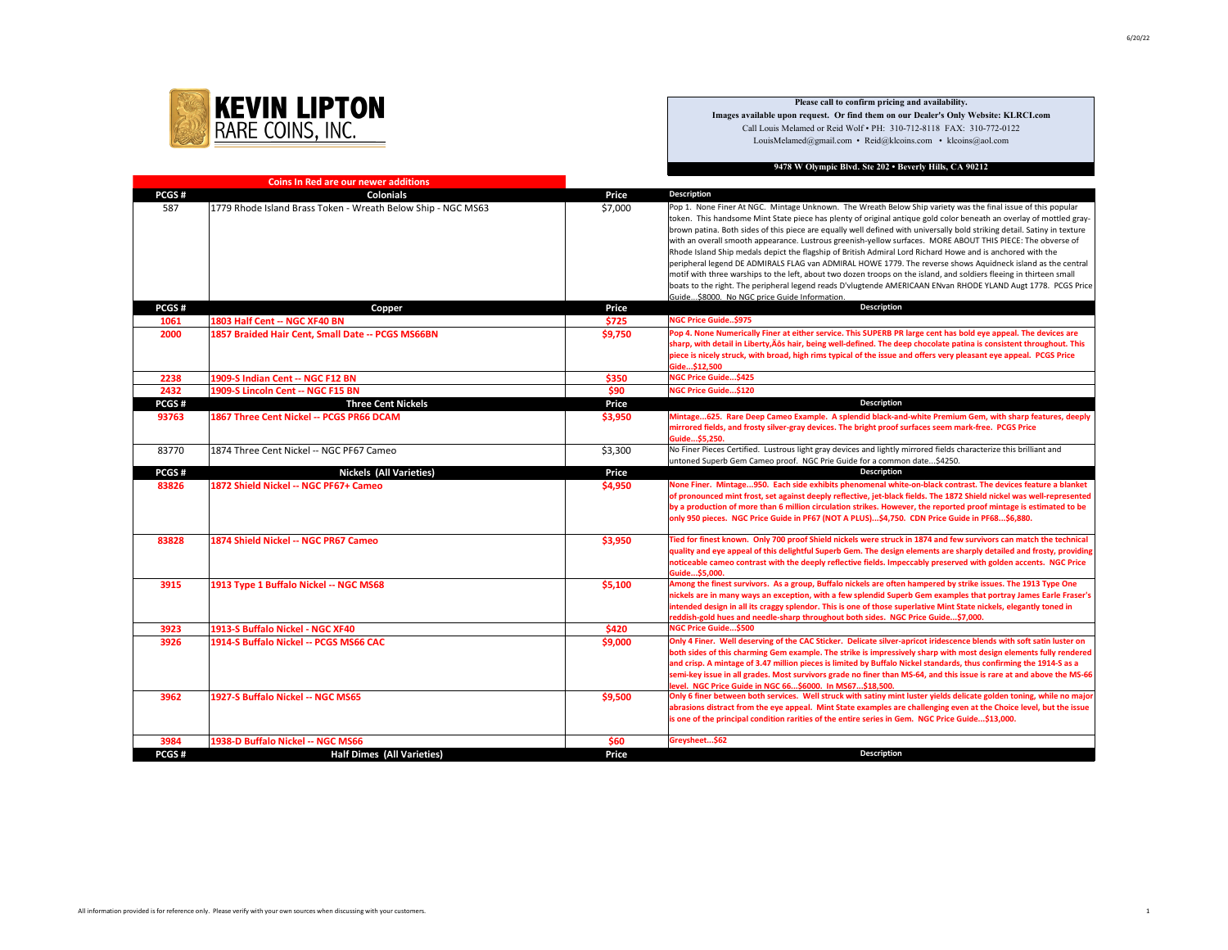

## **Please call to confirm pricing and availability.**

**Images available upon request. Or find them on our Dealer's Only Website: KLRCI.com** Call Louis Melamed or Reid Wolf • PH: 310-712-8118 FAX: 310-772-0122 LouisMelamed@gmail.com • Reid@klcoins.com • klcoins@aol.com

## **9478 W Olympic Blvd. Ste 202 • Beverly Hills, CA 90212**

| <b>Coins In Red are our newer additions</b> |                                                              |         |                                                                                                                                                                                                                                                                                                                                                                                                                                                                                                                                                                                                                                                                                                                                                                                                                                                                                                                                                                                                     |
|---------------------------------------------|--------------------------------------------------------------|---------|-----------------------------------------------------------------------------------------------------------------------------------------------------------------------------------------------------------------------------------------------------------------------------------------------------------------------------------------------------------------------------------------------------------------------------------------------------------------------------------------------------------------------------------------------------------------------------------------------------------------------------------------------------------------------------------------------------------------------------------------------------------------------------------------------------------------------------------------------------------------------------------------------------------------------------------------------------------------------------------------------------|
| PCGS#                                       | <b>Colonials</b>                                             | Price   | <b>Description</b>                                                                                                                                                                                                                                                                                                                                                                                                                                                                                                                                                                                                                                                                                                                                                                                                                                                                                                                                                                                  |
| 587                                         | 1779 Rhode Island Brass Token - Wreath Below Ship - NGC MS63 | \$7,000 | Pop 1. None Finer At NGC. Mintage Unknown. The Wreath Below Ship variety was the final issue of this popular<br>token. This handsome Mint State piece has plenty of original antique gold color beneath an overlay of mottled gray-<br>brown patina. Both sides of this piece are equally well defined with universally bold striking detail. Satiny in texture<br>with an overall smooth appearance. Lustrous greenish-yellow surfaces. MORE ABOUT THIS PIECE: The obverse of<br>Rhode Island Ship medals depict the flagship of British Admiral Lord Richard Howe and is anchored with the<br>peripheral legend DE ADMIRALS FLAG van ADMIRAL HOWE 1779. The reverse shows Aquidneck island as the central<br>motif with three warships to the left, about two dozen troops on the island, and soldiers fleeing in thirteen small<br>boats to the right. The peripheral legend reads D'vlugtende AMERICAAN ENvan RHODE YLAND Augt 1778. PCGS Price<br>Guide\$8000. No NGC price Guide Information. |
| PCGS#                                       | Copper                                                       | Price   | <b>Description</b>                                                                                                                                                                                                                                                                                                                                                                                                                                                                                                                                                                                                                                                                                                                                                                                                                                                                                                                                                                                  |
| 1061                                        | 1803 Half Cent -- NGC XF40 BN                                | \$725   | <b>NGC Price Guide\$975</b>                                                                                                                                                                                                                                                                                                                                                                                                                                                                                                                                                                                                                                                                                                                                                                                                                                                                                                                                                                         |
| 2000                                        | 1857 Braided Hair Cent, Small Date -- PCGS MS66BN            | \$9,750 | Pop 4. None Numerically Finer at either service. This SUPERB PR large cent has bold eye appeal. The devices are<br>sharp, with detail in Liberty, Äôs hair, being well-defined. The deep chocolate patina is consistent throughout. This<br>piece is nicely struck, with broad, high rims typical of the issue and offers very pleasant eye appeal. PCGS Price<br>Gide\$12,500                                                                                                                                                                                                                                                                                                                                                                                                                                                                                                                                                                                                                      |
| 2238                                        | 1909-S Indian Cent -- NGC F12 BN                             | \$350   | <b>NGC Price Guide\$425</b>                                                                                                                                                                                                                                                                                                                                                                                                                                                                                                                                                                                                                                                                                                                                                                                                                                                                                                                                                                         |
| 2432                                        | 1909-S Lincoln Cent -- NGC F15 BN                            | \$90    | NGC Price Guide\$120                                                                                                                                                                                                                                                                                                                                                                                                                                                                                                                                                                                                                                                                                                                                                                                                                                                                                                                                                                                |
| PCGS#                                       | <b>Three Cent Nickels</b>                                    | Price   | <b>Description</b>                                                                                                                                                                                                                                                                                                                                                                                                                                                                                                                                                                                                                                                                                                                                                                                                                                                                                                                                                                                  |
| 93763                                       | 1867 Three Cent Nickel -- PCGS PR66 DCAM                     | \$3,950 | Mintage625. Rare Deep Cameo Example. A splendid black-and-white Premium Gem, with sharp features, deeply<br>mirrored fields, and frosty silver-gray devices. The bright proof surfaces seem mark-free. PCGS Price<br>Guide\$5,250.                                                                                                                                                                                                                                                                                                                                                                                                                                                                                                                                                                                                                                                                                                                                                                  |
| 83770                                       | 1874 Three Cent Nickel -- NGC PF67 Cameo                     | \$3,300 | No Finer Pieces Certified. Lustrous light gray devices and lightly mirrored fields characterize this brilliant and<br>untoned Superb Gem Cameo proof. NGC Prie Guide for a common date\$4250.                                                                                                                                                                                                                                                                                                                                                                                                                                                                                                                                                                                                                                                                                                                                                                                                       |
| PCGS#                                       | <b>Nickels (All Varieties)</b>                               | Price   | Description                                                                                                                                                                                                                                                                                                                                                                                                                                                                                                                                                                                                                                                                                                                                                                                                                                                                                                                                                                                         |
| 83826                                       | 1872 Shield Nickel -- NGC PF67+ Cameo                        | \$4,950 | None Finer. Mintage950. Each side exhibits phenomenal white-on-black contrast. The devices feature a blanket<br>of pronounced mint frost, set against deeply reflective, jet-black fields. The 1872 Shield nickel was well-represented<br>by a production of more than 6 million circulation strikes. However, the reported proof mintage is estimated to be<br>only 950 pieces. NGC Price Guide in PF67 (NOT A PLUS)\$4,750. CDN Price Guide in PF68\$6,880.                                                                                                                                                                                                                                                                                                                                                                                                                                                                                                                                       |
| 83828                                       | 1874 Shield Nickel -- NGC PR67 Cameo                         | \$3,950 | Tied for finest known. Only 700 proof Shield nickels were struck in 1874 and few survivors can match the technical<br>quality and eye appeal of this delightful Superb Gem. The design elements are sharply detailed and frosty, providing<br>noticeable cameo contrast with the deeply reflective fields. Impeccably preserved with golden accents. NGC Price<br>Guide\$5.000.                                                                                                                                                                                                                                                                                                                                                                                                                                                                                                                                                                                                                     |
| 3915                                        | 1913 Type 1 Buffalo Nickel -- NGC MS68                       | \$5,100 | Among the finest survivors. As a group, Buffalo nickels are often hampered by strike issues. The 1913 Type One<br>nickels are in many ways an exception, with a few splendid Superb Gem examples that portray James Earle Fraser's<br>intended design in all its craggy splendor. This is one of those superlative Mint State nickels, elegantly toned in<br>reddish-gold hues and needle-sharp throughout both sides. NGC Price Guide\$7,000.                                                                                                                                                                                                                                                                                                                                                                                                                                                                                                                                                      |
| 3923                                        | 1913-S Buffalo Nickel - NGC XF40                             | \$420   | NGC Price Guide\$500                                                                                                                                                                                                                                                                                                                                                                                                                                                                                                                                                                                                                                                                                                                                                                                                                                                                                                                                                                                |
| 3926                                        | 1914-S Buffalo Nickel -- PCGS MS66 CAC                       | \$9,000 | Only 4 Finer. Well deserving of the CAC Sticker. Delicate silver-apricot iridescence blends with soft satin luster on<br>both sides of this charming Gem example. The strike is impressively sharp with most design elements fully rendered<br>and crisp. A mintage of 3.47 million pieces is limited by Buffalo Nickel standards, thus confirming the 1914-S as a<br>semi-key issue in all grades. Most survivors grade no finer than MS-64, and this issue is rare at and above the MS-66<br>evel. NGC Price Guide in NGC 66\$6000. In MS67\$18.500.                                                                                                                                                                                                                                                                                                                                                                                                                                              |
| 3962                                        | 1927-S Buffalo Nickel -- NGC MS65                            | \$9,500 | Only 6 finer between both services. Well struck with satiny mint luster yields delicate golden toning, while no major<br>abrasions distract from the eye appeal. Mint State examples are challenging even at the Choice level, but the issue<br>is one of the principal condition rarities of the entire series in Gem. NGC Price Guide\$13,000.                                                                                                                                                                                                                                                                                                                                                                                                                                                                                                                                                                                                                                                    |
| 3984                                        | 1938-D Buffalo Nickel -- NGC MS66                            | \$60    | Greysheet\$62                                                                                                                                                                                                                                                                                                                                                                                                                                                                                                                                                                                                                                                                                                                                                                                                                                                                                                                                                                                       |
| PCGS#                                       | <b>Half Dimes (All Varieties)</b>                            | Price   | <b>Description</b>                                                                                                                                                                                                                                                                                                                                                                                                                                                                                                                                                                                                                                                                                                                                                                                                                                                                                                                                                                                  |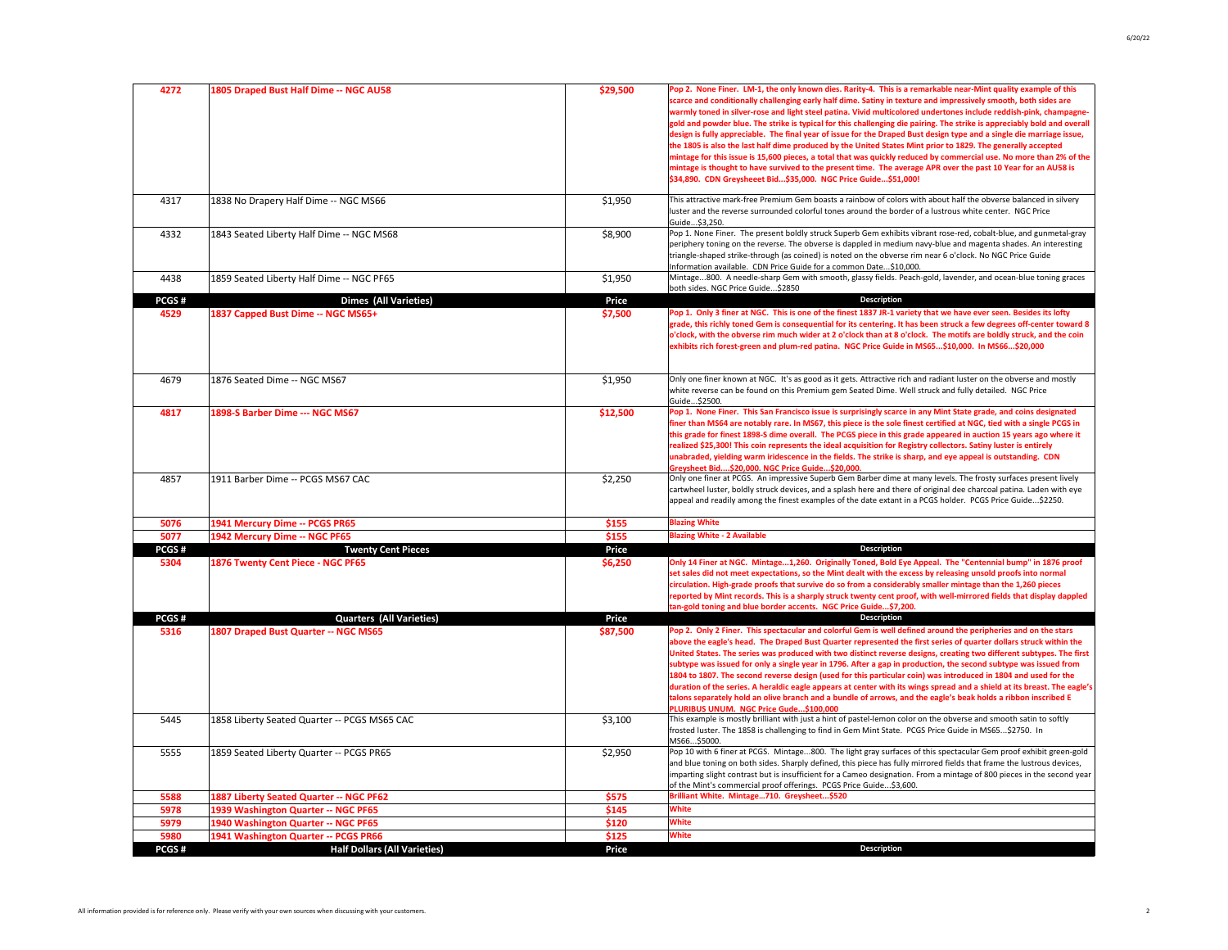| 4272         | 1805 Draped Bust Half Dime -- NGC AU58                                      | \$29,500       | Pop 2. None Finer. LM-1, the only known dies. Rarity-4. This is a remarkable near-Mint quality example of this<br>scarce and conditionally challenging early half dime. Satiny in texture and impressively smooth, both sides are<br>warmly toned in silver-rose and light steel patina. Vivid multicolored undertones include reddish-pink, champagne-<br>gold and powder blue. The strike is typical for this challenging die pairing. The strike is appreciably bold and overall<br>design is fully appreciable. The final year of issue for the Draped Bust design type and a single die marriage issue,<br>the 1805 is also the last half dime produced by the United States Mint prior to 1829. The generally accepted<br>mintage for this issue is 15,600 pieces, a total that was quickly reduced by commercial use. No more than 2% of the<br>mintage is thought to have survived to the present time. The average APR over the past 10 Year for an AU58 is<br>\$34,890. CDN Greysheeet Bid\$35,000. NGC Price Guide\$51,000! |
|--------------|-----------------------------------------------------------------------------|----------------|----------------------------------------------------------------------------------------------------------------------------------------------------------------------------------------------------------------------------------------------------------------------------------------------------------------------------------------------------------------------------------------------------------------------------------------------------------------------------------------------------------------------------------------------------------------------------------------------------------------------------------------------------------------------------------------------------------------------------------------------------------------------------------------------------------------------------------------------------------------------------------------------------------------------------------------------------------------------------------------------------------------------------------------|
| 4317         | 1838 No Drapery Half Dime -- NGC MS66                                       | \$1,950        | This attractive mark-free Premium Gem boasts a rainbow of colors with about half the obverse balanced in silvery<br>luster and the reverse surrounded colorful tones around the border of a lustrous white center. NGC Price<br>Guide\$3,250.                                                                                                                                                                                                                                                                                                                                                                                                                                                                                                                                                                                                                                                                                                                                                                                          |
| 4332         | 1843 Seated Liberty Half Dime -- NGC MS68                                   | \$8,900        | Pop 1. None Finer. The present boldly struck Superb Gem exhibits vibrant rose-red, cobalt-blue, and gunmetal-gray<br>periphery toning on the reverse. The obverse is dappled in medium navy-blue and magenta shades. An interesting<br>triangle-shaped strike-through (as coined) is noted on the obverse rim near 6 o'clock. No NGC Price Guide<br>Information available. CDN Price Guide for a common Date\$10,000.                                                                                                                                                                                                                                                                                                                                                                                                                                                                                                                                                                                                                  |
| 4438         | 1859 Seated Liberty Half Dime -- NGC PF65                                   | \$1,950        | Mintage800. A needle-sharp Gem with smooth, glassy fields. Peach-gold, lavender, and ocean-blue toning graces<br>both sides. NGC Price Guide\$2850                                                                                                                                                                                                                                                                                                                                                                                                                                                                                                                                                                                                                                                                                                                                                                                                                                                                                     |
| PCGS#        | <b>Dimes (All Varieties)</b>                                                | Price          | Description                                                                                                                                                                                                                                                                                                                                                                                                                                                                                                                                                                                                                                                                                                                                                                                                                                                                                                                                                                                                                            |
| 4529         | 1837 Capped Bust Dime -- NGC MS65+                                          | \$7,500        | Pop 1. Only 3 finer at NGC. This is one of the finest 1837 JR-1 variety that we have ever seen. Besides its lofty<br>grade, this richly toned Gem is consequential for its centering. It has been struck a few degrees off-center toward 8<br>o'clock, with the obverse rim much wider at 2 o'clock than at 8 o'clock. The motifs are boldly struck, and the coin<br>exhibits rich forest-green and plum-red patina. NGC Price Guide in MS65\$10,000. In MS66\$20,000                                                                                                                                                                                                                                                                                                                                                                                                                                                                                                                                                                  |
| 4679         | 1876 Seated Dime -- NGC MS67                                                | \$1,950        | Only one finer known at NGC. It's as good as it gets. Attractive rich and radiant luster on the obverse and mostly<br>white reverse can be found on this Premium gem Seated Dime. Well struck and fully detailed. NGC Price<br>Guide\$2500.                                                                                                                                                                                                                                                                                                                                                                                                                                                                                                                                                                                                                                                                                                                                                                                            |
| 4817         | 1898-S Barber Dime --- NGC MS67                                             | \$12,500       | Pop 1. None Finer. This San Francisco issue is surprisingly scarce in any Mint State grade, and coins designated<br>finer than MS64 are notably rare. In MS67, this piece is the sole finest certified at NGC, tied with a single PCGS in<br>this grade for finest 1898-S dime overall. The PCGS piece in this grade appeared in auction 15 years ago where it<br>realized \$25,300! This coin represents the ideal acquisition for Registry collectors. Satiny luster is entirely<br>unabraded, yielding warm iridescence in the fields. The strike is sharp, and eye appeal is outstanding. CDN<br>Greysheet Bid\$20,000. NGC Price Guide\$20,000.                                                                                                                                                                                                                                                                                                                                                                                   |
| 4857         | 1911 Barber Dime -- PCGS MS67 CAC                                           | \$2,250        | Only one finer at PCGS. An impressive Superb Gem Barber dime at many levels. The frosty surfaces present lively<br>cartwheel luster, boldly struck devices, and a splash here and there of original dee charcoal patina. Laden with eye<br>appeal and readily among the finest examples of the date extant in a PCGS holder. PCGS Price Guide\$2250.                                                                                                                                                                                                                                                                                                                                                                                                                                                                                                                                                                                                                                                                                   |
| 5076         | 1941 Mercury Dime -- PCGS PR65                                              | \$155          | <b>Blazing White</b>                                                                                                                                                                                                                                                                                                                                                                                                                                                                                                                                                                                                                                                                                                                                                                                                                                                                                                                                                                                                                   |
| 5077         | 1942 Mercury Dime -- NGC PF65                                               | \$155          | <b>Blazing White - 2 Available</b>                                                                                                                                                                                                                                                                                                                                                                                                                                                                                                                                                                                                                                                                                                                                                                                                                                                                                                                                                                                                     |
| PCGS#        | <b>Twenty Cent Pieces</b>                                                   | Price          | Description                                                                                                                                                                                                                                                                                                                                                                                                                                                                                                                                                                                                                                                                                                                                                                                                                                                                                                                                                                                                                            |
| 5304         | 1876 Twenty Cent Piece - NGC PF65                                           | \$6,250        | Only 14 Finer at NGC. Mintage1,260. Originally Toned, Bold Eye Appeal. The "Centennial bump" in 1876 proof<br>set sales did not meet expectations, so the Mint dealt with the excess by releasing unsold proofs into normal<br>circulation. High-grade proofs that survive do so from a considerably smaller mintage than the 1,260 pieces<br>reported by Mint records. This is a sharply struck twenty cent proof, with well-mirrored fields that display dappled<br>an-gold toning and blue border accents. NGC Price Guide\$7,200.                                                                                                                                                                                                                                                                                                                                                                                                                                                                                                  |
| PCGS#        | Quarters (All Varieties)                                                    | Price          | Description                                                                                                                                                                                                                                                                                                                                                                                                                                                                                                                                                                                                                                                                                                                                                                                                                                                                                                                                                                                                                            |
| 5316         | 1807 Draped Bust Quarter -- NGC MS65                                        | \$87,500       | Pop 2. Only 2 Finer. This spectacular and colorful Gem is well defined around the peripheries and on the stars<br>above the eagle's head. The Draped Bust Quarter represented the first series of quarter dollars struck within the<br>United States. The series was produced with two distinct reverse designs, creating two different subtypes. The first<br>subtype was issued for only a single year in 1796. After a gap in production, the second subtype was issued from<br>1804 to 1807. The second reverse design (used for this particular coin) was introduced in 1804 and used for the<br>duration of the series. A heraldic eagle appears at center with its wings spread and a shield at its breast. The eagle's<br>talons separately hold an olive branch and a bundle of arrows, and the eagle's beak holds a ribbon inscribed E<br>PLURIBUS UNUM. NGC Price Gude\$100.000                                                                                                                                             |
| 5445         | 1858 Liberty Seated Quarter -- PCGS MS65 CAC                                | \$3,100        | This example is mostly brilliant with just a hint of pastel-lemon color on the obverse and smooth satin to softly<br>frosted luster. The 1858 is challenging to find in Gem Mint State. PCGS Price Guide in MS65\$2750. In<br>MS66\$5000.                                                                                                                                                                                                                                                                                                                                                                                                                                                                                                                                                                                                                                                                                                                                                                                              |
| 5555         | 1859 Seated Liberty Quarter -- PCGS PR65                                    | \$2,950        | Pop 10 with 6 finer at PCGS. Mintage800. The light gray surfaces of this spectacular Gem proof exhibit green-gold<br>and blue toning on both sides. Sharply defined, this piece has fully mirrored fields that frame the lustrous devices,<br>imparting slight contrast but is insufficient for a Cameo designation. From a mintage of 800 pieces in the second year<br>of the Mint's commercial proof offerings. PCGS Price Guide\$3,600.                                                                                                                                                                                                                                                                                                                                                                                                                                                                                                                                                                                             |
| 5588         | 1887 Liberty Seated Quarter -- NGC PF62                                     | \$575          | Brilliant White. Mintage710. Greysheet\$520                                                                                                                                                                                                                                                                                                                                                                                                                                                                                                                                                                                                                                                                                                                                                                                                                                                                                                                                                                                            |
| 5978         | 1939 Washington Quarter -- NGC PF65                                         | \$145          | <b>White</b>                                                                                                                                                                                                                                                                                                                                                                                                                                                                                                                                                                                                                                                                                                                                                                                                                                                                                                                                                                                                                           |
| 5979<br>5980 | 1940 Washington Quarter -- NGC PF65<br>1941 Washington Quarter -- PCGS PR66 | \$120<br>\$125 | <b>White</b><br><b>White</b>                                                                                                                                                                                                                                                                                                                                                                                                                                                                                                                                                                                                                                                                                                                                                                                                                                                                                                                                                                                                           |
| PCGS#        | <b>Half Dollars (All Varieties)</b>                                         | Price          | Description                                                                                                                                                                                                                                                                                                                                                                                                                                                                                                                                                                                                                                                                                                                                                                                                                                                                                                                                                                                                                            |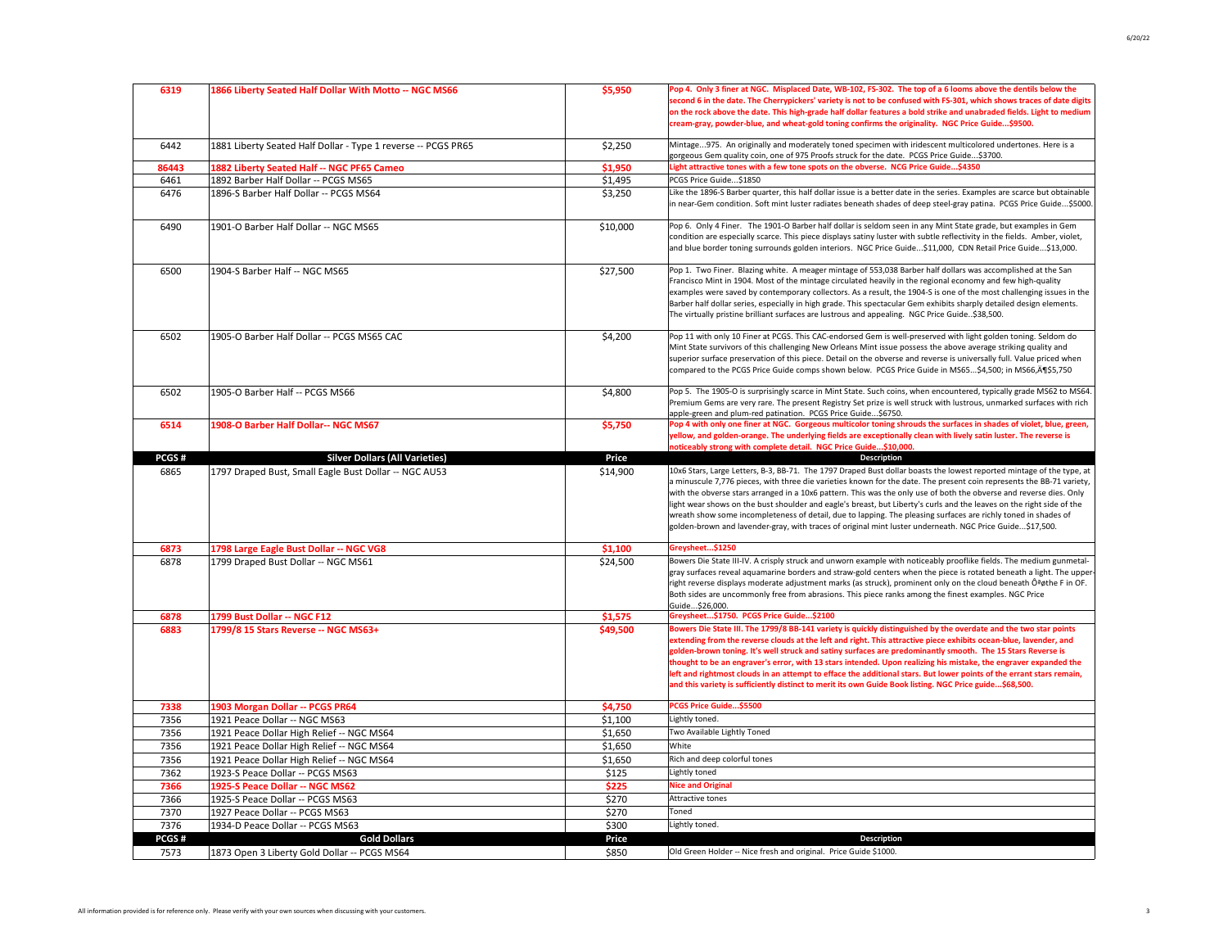| 6319  | 1866 Liberty Seated Half Dollar With Motto -- NGC MS66        | \$5,950  | Pop 4. Only 3 finer at NGC. Misplaced Date, WB-102, FS-302. The top of a 6 looms above the dentils below the<br>second 6 in the date. The Cherrypickers' variety is not to be confused with FS-301, which shows traces of date digits<br>on the rock above the date. This high-grade half dollar features a bold strike and unabraded fields. Light to medium<br>cream-gray, powder-blue, and wheat-gold toning confirms the originality. NGC Price Guide\$9500.                                                                                                                                                                                                                                                             |
|-------|---------------------------------------------------------------|----------|------------------------------------------------------------------------------------------------------------------------------------------------------------------------------------------------------------------------------------------------------------------------------------------------------------------------------------------------------------------------------------------------------------------------------------------------------------------------------------------------------------------------------------------------------------------------------------------------------------------------------------------------------------------------------------------------------------------------------|
| 6442  | 1881 Liberty Seated Half Dollar - Type 1 reverse -- PCGS PR65 | \$2,250  | Mintage975. An originally and moderately toned specimen with iridescent multicolored undertones. Here is a<br>gorgeous Gem quality coin, one of 975 Proofs struck for the date. PCGS Price Guide\$3700.                                                                                                                                                                                                                                                                                                                                                                                                                                                                                                                      |
| 86443 | 1882 Liberty Seated Half -- NGC PF65 Cameo                    | \$1,950  | Light attractive tones with a few tone spots on the obverse. NCG Price Guide\$4350                                                                                                                                                                                                                                                                                                                                                                                                                                                                                                                                                                                                                                           |
| 6461  | 1892 Barber Half Dollar -- PCGS MS65                          | \$1,495  | PCGS Price Guide\$1850                                                                                                                                                                                                                                                                                                                                                                                                                                                                                                                                                                                                                                                                                                       |
| 6476  | 1896-S Barber Half Dollar -- PCGS MS64                        | \$3,250  | Like the 1896-S Barber quarter, this half dollar issue is a better date in the series. Examples are scarce but obtainable<br>in near-Gem condition. Soft mint luster radiates beneath shades of deep steel-gray patina. PCGS Price Guide\$5000.                                                                                                                                                                                                                                                                                                                                                                                                                                                                              |
| 6490  | 1901-O Barber Half Dollar -- NGC MS65                         | \$10,000 | Pop 6. Only 4 Finer. The 1901-O Barber half dollar is seldom seen in any Mint State grade, but examples in Gem<br>condition are especially scarce. This piece displays satiny luster with subtle reflectivity in the fields. Amber, violet,<br>and blue border toning surrounds golden interiors. NGC Price Guide\$11,000, CDN Retail Price Guide\$13,000.                                                                                                                                                                                                                                                                                                                                                                   |
| 6500  | 1904-S Barber Half -- NGC MS65                                | \$27,500 | Pop 1. Two Finer. Blazing white. A meager mintage of 553,038 Barber half dollars was accomplished at the San<br>Francisco Mint in 1904. Most of the mintage circulated heavily in the regional economy and few high-quality<br>examples were saved by contemporary collectors. As a result, the 1904-S is one of the most challenging issues in the<br>Barber half dollar series, especially in high grade. This spectacular Gem exhibits sharply detailed design elements.<br>The virtually pristine brilliant surfaces are lustrous and appealing. NGC Price Guide\$38,500.                                                                                                                                                |
| 6502  | 1905-O Barber Half Dollar -- PCGS MS65 CAC                    | \$4,200  | Pop 11 with only 10 Finer at PCGS. This CAC-endorsed Gem is well-preserved with light golden toning. Seldom do<br>Mint State survivors of this challenging New Orleans Mint issue possess the above average striking quality and<br>superior surface preservation of this piece. Detail on the obverse and reverse is universally full. Value priced when<br>compared to the PCGS Price Guide comps shown below. PCGS Price Guide in MS65\$4,500; in MS66, A 1\$5,750                                                                                                                                                                                                                                                        |
| 6502  | 1905-O Barber Half -- PCGS MS66                               | \$4,800  | Pop 5. The 1905-O is surprisingly scarce in Mint State. Such coins, when encountered, typically grade MS62 to MS64.<br>Premium Gems are very rare. The present Registry Set prize is well struck with lustrous, unmarked surfaces with rich<br>apple-green and plum-red patination. PCGS Price Guide\$6750.                                                                                                                                                                                                                                                                                                                                                                                                                  |
| 6514  | 1908-O Barber Half Dollar-- NGC MS67                          | \$5,750  | Pop 4 with only one finer at NGC. Gorgeous multicolor toning shrouds the surfaces in shades of violet, blue, green,<br>yellow, and golden-orange. The underlying fields are exceptionally clean with lively satin luster. The reverse is<br>noticeably strong with complete detail. NGC Price Guide\$10,000                                                                                                                                                                                                                                                                                                                                                                                                                  |
| PCGS# | <b>Silver Dollars (All Varieties)</b>                         | Price    | Description                                                                                                                                                                                                                                                                                                                                                                                                                                                                                                                                                                                                                                                                                                                  |
| 6865  | 1797 Draped Bust, Small Eagle Bust Dollar -- NGC AU53         | \$14,900 | 10x6 Stars, Large Letters, B-3, BB-71. The 1797 Draped Bust dollar boasts the lowest reported mintage of the type, at<br>a minuscule 7,776 pieces, with three die varieties known for the date. The present coin represents the BB-71 variety,<br>with the obverse stars arranged in a 10x6 pattern. This was the only use of both the obverse and reverse dies. Only<br>light wear shows on the bust shoulder and eagle's breast, but Liberty's curls and the leaves on the right side of the<br>wreath show some incompleteness of detail, due to lapping. The pleasing surfaces are richly toned in shades of<br>golden-brown and lavender-gray, with traces of original mint luster underneath. NGC Price Guide\$17,500. |
| 6873  | 1798 Large Eagle Bust Dollar -- NGC VG8                       | \$1,100  | Greysheet\$1250                                                                                                                                                                                                                                                                                                                                                                                                                                                                                                                                                                                                                                                                                                              |
| 6878  | 1799 Draped Bust Dollar -- NGC MS61                           | \$24,500 | Bowers Die State III-IV. A crisply struck and unworn example with noticeably prooflike fields. The medium gunmetal-<br>gray surfaces reveal aquamarine borders and straw-gold centers when the piece is rotated beneath a light. The upper<br>right reverse displays moderate adjustment marks (as struck), prominent only on the cloud beneath Ôªøthe F in OF.<br>Both sides are uncommonly free from abrasions. This piece ranks among the finest examples. NGC Price<br>Guide\$26,000.                                                                                                                                                                                                                                    |
| 6878  | 1799 Bust Dollar -- NGC F12                                   | \$1,575  | Greysheet\$1750. PCGS Price Guide\$2100                                                                                                                                                                                                                                                                                                                                                                                                                                                                                                                                                                                                                                                                                      |
| 6883  | 1799/8 15 Stars Reverse -- NGC MS63+                          | \$49,500 | Bowers Die State III. The 1799/8 BB-141 variety is quickly distinguished by the overdate and the two star points<br>extending from the reverse clouds at the left and right. This attractive piece exhibits ocean-blue, lavender, and<br>golden-brown toning. It's well struck and satiny surfaces are predominantly smooth. The 15 Stars Reverse is<br>thought to be an engraver's error, with 13 stars intended. Upon realizing his mistake, the engraver expanded the<br>left and rightmost clouds in an attempt to efface the additional stars. But lower points of the errant stars remain,<br>and this variety is sufficiently distinct to merit its own Guide Book listing. NGC Price guide\$68,500.                  |
| 7338  | 1903 Morgan Dollar -- PCGS PR64                               | \$4,750  | PCGS Price Guide\$5500                                                                                                                                                                                                                                                                                                                                                                                                                                                                                                                                                                                                                                                                                                       |
| 7356  | 1921 Peace Dollar -- NGC MS63                                 | \$1,100  | Lightly toned.                                                                                                                                                                                                                                                                                                                                                                                                                                                                                                                                                                                                                                                                                                               |
| 7356  | 1921 Peace Dollar High Relief -- NGC MS64                     | \$1,650  | Two Available Lightly Toned                                                                                                                                                                                                                                                                                                                                                                                                                                                                                                                                                                                                                                                                                                  |
| 7356  | 1921 Peace Dollar High Relief -- NGC MS64                     | \$1,650  | White                                                                                                                                                                                                                                                                                                                                                                                                                                                                                                                                                                                                                                                                                                                        |
| 7356  | 1921 Peace Dollar High Relief -- NGC MS64                     | \$1,650  | Rich and deep colorful tones                                                                                                                                                                                                                                                                                                                                                                                                                                                                                                                                                                                                                                                                                                 |
| 7362  | 1923-S Peace Dollar -- PCGS MS63                              | \$125    | Lightly toned                                                                                                                                                                                                                                                                                                                                                                                                                                                                                                                                                                                                                                                                                                                |
| 7366  | 1925-S Peace Dollar -- NGC MS62                               | \$225    | <b>Nice and Original</b>                                                                                                                                                                                                                                                                                                                                                                                                                                                                                                                                                                                                                                                                                                     |
| 7366  | 1925-S Peace Dollar -- PCGS MS63                              | \$270    | Attractive tones                                                                                                                                                                                                                                                                                                                                                                                                                                                                                                                                                                                                                                                                                                             |
| 7370  | 1927 Peace Dollar -- PCGS MS63                                | \$270    | Toned                                                                                                                                                                                                                                                                                                                                                                                                                                                                                                                                                                                                                                                                                                                        |
| 7376  | 1934-D Peace Dollar -- PCGS MS63                              | \$300    | Lightly toned.                                                                                                                                                                                                                                                                                                                                                                                                                                                                                                                                                                                                                                                                                                               |
| PCGS# | <b>Gold Dollars</b>                                           | Price    | Description                                                                                                                                                                                                                                                                                                                                                                                                                                                                                                                                                                                                                                                                                                                  |
| 7573  | 1873 Open 3 Liberty Gold Dollar -- PCGS MS64                  | \$850    | Old Green Holder -- Nice fresh and original. Price Guide \$1000.                                                                                                                                                                                                                                                                                                                                                                                                                                                                                                                                                                                                                                                             |